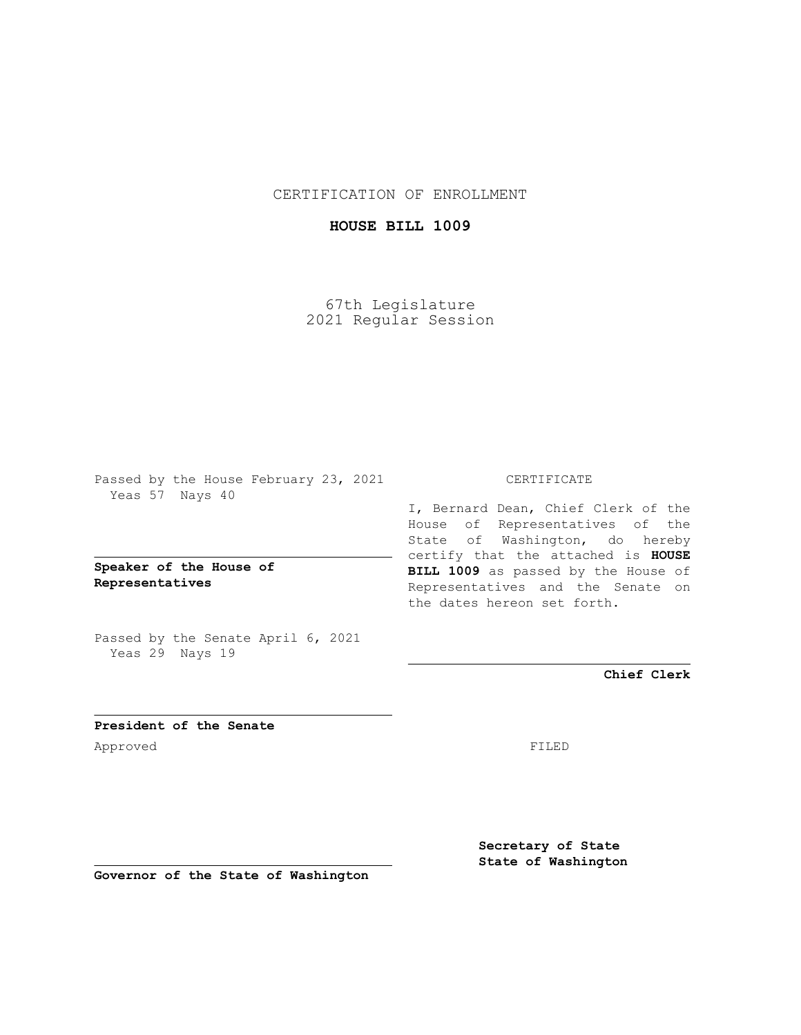CERTIFICATION OF ENROLLMENT

## **HOUSE BILL 1009**

67th Legislature 2021 Regular Session

Passed by the House February 23, 2021 Yeas 57 Nays 40

**Speaker of the House of Representatives**

Passed by the Senate April 6, 2021 Yeas 29 Nays 19

## CERTIFICATE

I, Bernard Dean, Chief Clerk of the House of Representatives of the State of Washington, do hereby certify that the attached is **HOUSE BILL 1009** as passed by the House of Representatives and the Senate on the dates hereon set forth.

**Chief Clerk**

**President of the Senate** Approved FILED

**Secretary of State State of Washington**

**Governor of the State of Washington**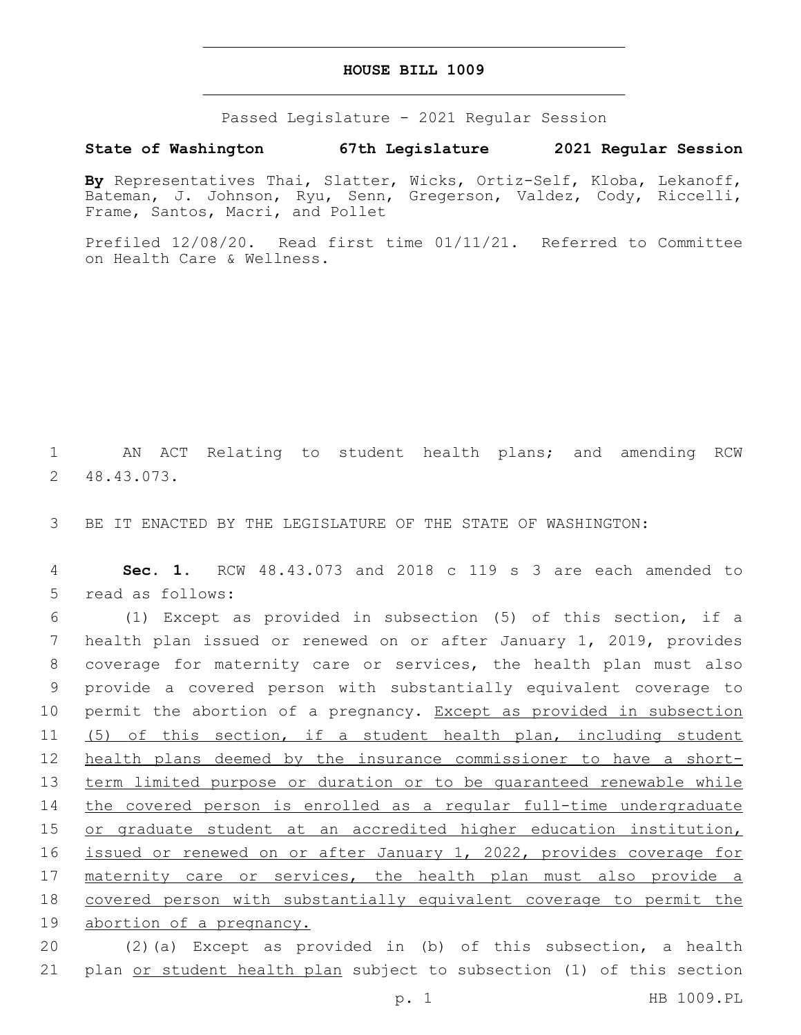## **HOUSE BILL 1009**

Passed Legislature - 2021 Regular Session

## **State of Washington 67th Legislature 2021 Regular Session**

**By** Representatives Thai, Slatter, Wicks, Ortiz-Self, Kloba, Lekanoff, Bateman, J. Johnson, Ryu, Senn, Gregerson, Valdez, Cody, Riccelli, Frame, Santos, Macri, and Pollet

Prefiled 12/08/20. Read first time 01/11/21. Referred to Committee on Health Care & Wellness.

1 AN ACT Relating to student health plans; and amending RCW 48.43.073.2

3 BE IT ENACTED BY THE LEGISLATURE OF THE STATE OF WASHINGTON:

4 **Sec. 1.** RCW 48.43.073 and 2018 c 119 s 3 are each amended to 5 read as follows:

 (1) Except as provided in subsection (5) of this section, if a health plan issued or renewed on or after January 1, 2019, provides coverage for maternity care or services, the health plan must also provide a covered person with substantially equivalent coverage to 10 permit the abortion of a pregnancy. Except as provided in subsection (5) of this section, if a student health plan, including student 12 health plans deemed by the insurance commissioner to have a short- term limited purpose or duration or to be guaranteed renewable while the covered person is enrolled as a regular full-time undergraduate or graduate student at an accredited higher education institution, 16 issued or renewed on or after January 1, 2022, provides coverage for 17 maternity care or services, the health plan must also provide a covered person with substantially equivalent coverage to permit the abortion of a pregnancy.

20 (2)(a) Except as provided in (b) of this subsection, a health 21 plan or student health plan subject to subsection (1) of this section